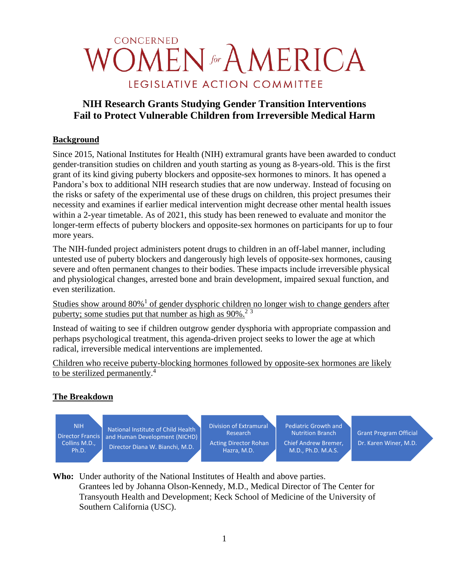# CONCERNED **OMEN** for AMERICA LEGISLATIVE ACTION COMMITTEE

# **NIH Research Grants Studying Gender Transition Interventions Fail to Protect Vulnerable Children from Irreversible Medical Harm**

## **Background**

Since 2015, National Institutes for Health (NIH) extramural grants have been awarded to conduct gender-transition studies on children and youth starting as young as 8-years-old. This is the first grant of its kind giving puberty blockers and opposite-sex hormones to minors. It has opened a Pandora's box to additional NIH research studies that are now underway. Instead of focusing on the risks or safety of the experimental use of these drugs on children, this project presumes their necessity and examines if earlier medical intervention might decrease other mental health issues within a 2-year timetable. As of 2021, this study has been renewed to evaluate and monitor the longer-term effects of puberty blockers and opposite-sex hormones on participants for up to four more years.

The NIH-funded project administers potent drugs to children in an off-label manner, including untested use of puberty blockers and dangerously high levels of opposite-sex hormones, causing severe and often permanent changes to their bodies. These impacts include irreversible physical and physiological changes, arrested bone and brain development, impaired sexual function, and even sterilization.

Studies show around 80%<sup>1</sup> of gender dysphoric children no longer wish to change genders after puberty; some studies put that number as high as  $90\%$ <sup>23</sup>

Instead of waiting to see if children outgrow gender dysphoria with appropriate compassion and perhaps psychological treatment, this agenda-driven project seeks to lower the age at which radical, irreversible medical interventions are implemented.

Children who receive puberty-blocking hormones followed by opposite-sex hormones are likely to be sterilized permanently.<sup>4</sup>

# **The Breakdown**

NIH Director Francis Collins M.D., Ph.D.

National Institute of Child Health and Human Development (NICHD) Director Diana W. Bianchi, M.D.

Division of Extramural Research Acting Director Rohan Hazra, M.D.

Pediatric Growth and Nutrition Branch Chief Andrew Bremer, M.D., Ph.D. M.A.S.

Grant Program Official Dr. Karen Winer, M.D.

**Who:** Under authority of the National Institutes of Health and above parties. Grantees led by Johanna Olson-Kennedy, M.D., Medical Director of The Center for Transyouth Health and Development; Keck School of Medicine of the University of Southern California (USC).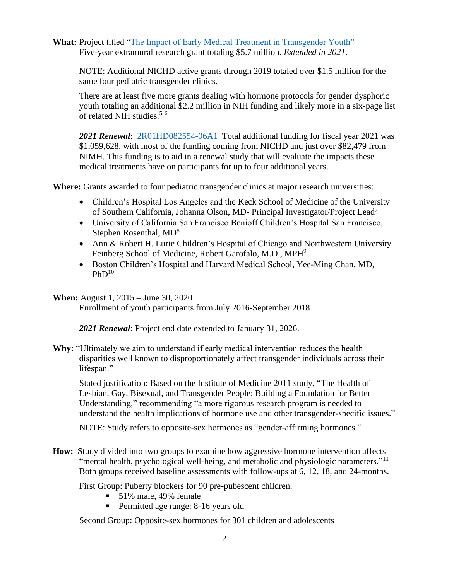**What:** Project titled ["The Impact of Early Medical Treatment in Transgender Youth"](https://www.newswise.com/articles/nih-funds-first-ever-multi-site-study-of-transgender-youth-in-the-us-with-a-5-7-million-award?sc=rsgt) Five-year extramural research grant totaling \$5.7 million. *Extended in 2021*.

NOTE: Additional NICHD active grants through 2019 totaled over \$1.5 million for the same four pediatric transgender clinics.

There are at least five more grants dealing with hormone protocols for gender dysphoric youth totaling an additional \$2.2 million in NIH funding and likely more in a six-page list of related NIH studies.<sup>5</sup> <sup>6</sup>

*2021 Renewal*: [2R01HD082554-06A1](https://reporter.nih.gov/project-details/10122677) Total additional funding for fiscal year 2021 was \$1,059,628, with most of the funding coming from NICHD and just over \$82,479 from NIMH. This funding is to aid in a renewal study that will evaluate the impacts these medical treatments have on participants for up to four additional years.

**Where:** Grants awarded to four pediatric transgender clinics at major research universities:

- Children's Hospital Los Angeles and the Keck School of Medicine of the University of Southern California, Johanna Olson, MD- Principal Investigator/Project Lead<sup>7</sup>
- University of California San Francisco Benioff Children's Hospital San Francisco, Stephen Rosenthal, MD<sup>8</sup>
- Ann & Robert H. Lurie Children's Hospital of Chicago and Northwestern University Feinberg School of Medicine, Robert Garofalo, M.D., MPH<sup>9</sup>
- Boston Children's Hospital and Harvard Medical School, Yee-Ming Chan, MD,  $PhD<sup>10</sup>$

#### **When:** August 1, 2015 – June 30, 2020

Enrollment of youth participants from July 2016-September 2018

*2021 Renewal*: Project end date extended to January 31, 2026.

**Why:** "Ultimately we aim to understand if early medical intervention reduces the health disparities well known to disproportionately affect transgender individuals across their lifespan."

Stated justification: Based on the Institute of Medicine 2011 study, "The Health of Lesbian, Gay, Bisexual, and Transgender People: Building a Foundation for Better Understanding," recommending "a more rigorous research program is needed to understand the health implications of hormone use and other transgender-specific issues."

NOTE: Study refers to opposite-sex hormones as "gender-affirming hormones."

**How:** Study divided into two groups to examine how aggressive hormone intervention affects "mental health, psychological well-being, and metabolic and physiologic parameters."<sup>11</sup> Both groups received baseline assessments with follow-ups at 6, 12, 18, and 24-months.

First Group: Puberty blockers for 90 pre-pubescent children.

- 51% male, 49% female
- Permitted age range: 8-16 years old

Second Group: Opposite-sex hormones for 301 children and adolescents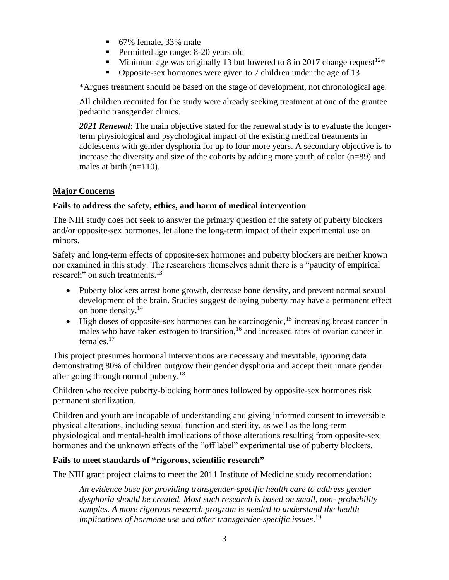- 67% female, 33% male
- **•** Permitted age range: 8-20 years old
- **EXECUTE:** Minimum age was originally 13 but lowered to 8 in 2017 change request  $12*$
- Opposite-sex hormones were given to 7 children under the age of 13

\*Argues treatment should be based on the stage of development, not chronological age.

All children recruited for the study were already seeking treatment at one of the grantee pediatric transgender clinics.

*2021 Renewal*: The main objective stated for the renewal study is to evaluate the longerterm physiological and psychological impact of the existing medical treatments in adolescents with gender dysphoria for up to four more years. A secondary objective is to increase the diversity and size of the cohorts by adding more youth of color (n=89) and males at birth (n=110).

# **Major Concerns**

## **Fails to address the safety, ethics, and harm of medical intervention**

The NIH study does not seek to answer the primary question of the safety of puberty blockers and/or opposite-sex hormones, let alone the long-term impact of their experimental use on minors.

Safety and long-term effects of opposite-sex hormones and puberty blockers are neither known nor examined in this study. The researchers themselves admit there is a "paucity of empirical research" on such treatments.<sup>13</sup>

- Puberty blockers arrest bone growth, decrease bone density, and prevent normal sexual development of the brain. Studies suggest delaying puberty may have a permanent effect on bone density.<sup>14</sup>
- High doses of opposite-sex hormones can be carcinogenic,<sup>15</sup> increasing breast cancer in males who have taken estrogen to transition,  $16$  and increased rates of ovarian cancer in females.<sup>17</sup>

This project presumes hormonal interventions are necessary and inevitable, ignoring data demonstrating 80% of children outgrow their gender dysphoria and accept their innate gender after going through normal puberty.<sup>18</sup>

Children who receive puberty-blocking hormones followed by opposite-sex hormones risk permanent sterilization.

Children and youth are incapable of understanding and giving informed consent to irreversible physical alterations, including sexual function and sterility, as well as the long-term physiological and mental-health implications of those alterations resulting from opposite-sex hormones and the unknown effects of the "off label" experimental use of puberty blockers.

### **Fails to meet standards of "rigorous, scientific research"**

The NIH grant project claims to meet the 2011 Institute of Medicine study recomendation:

*An evidence base for providing transgender-specific health care to address gender dysphoria should be created. Most such research is based on small, non- probability samples. A more rigorous research program is needed to understand the health implications of hormone use and other transgender-specific issues*. 19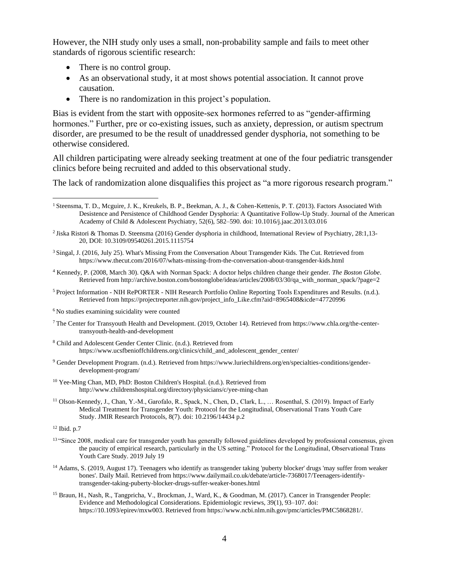However, the NIH study only uses a small, non-probability sample and fails to meet other standards of rigorous scientific research:

- There is no control group.
- As an observational study, it at most shows potential association. It cannot prove causation.
- There is no randomization in this project's population.

Bias is evident from the start with opposite-sex hormones referred to as "gender-affirming hormones." Further, pre or co-existing issues, such as anxiety, depression, or autism spectrum disorder, are presumed to be the result of unaddressed gender dysphoria, not something to be otherwise considered.

All children participating were already seeking treatment at one of the four pediatric transgender clinics before being recruited and added to this observational study.

The lack of randomization alone disqualifies this project as "a more rigorous research program."

- 2 Jiska Ristori & Thomas D. Steensma (2016) Gender dysphoria in childhood, International Review of Psychiatry, 28:1,13- 20, DOI: [10.3109/09540261.2015.1115754](https://doi.org/10.3109/09540261.2015.1115754)
- <sup>3</sup> Singal, J. (2016, July 25). What's Missing From the Conversation About Transgender Kids. The Cut. Retrieved from https://www.thecut.com/2016/07/whats-missing-from-the-conversation-about-transgender-kids.html
- <sup>4</sup> Kennedy, P. (2008, March 30). Q&A with Norman Spack: A doctor helps children change their gender. *The Boston Globe*. Retrieved from http://archive.boston.com/bostonglobe/ideas/articles/2008/03/30/qa\_with\_norman\_spack/?page=2
- <sup>5</sup> Project Information NIH RePORTER NIH Research Portfolio Online Reporting Tools Expenditures and Results. (n.d.). Retrieved from https://projectreporter.nih.gov/project\_info\_Like.cfm?aid=8965408&icde=47720996
- <sup>6</sup> No studies examining suicidality were counted
- <sup>7</sup> The Center for Transyouth Health and Development. (2019, October 14). Retrieved from https://www.chla.org/the-centertransyouth-health-and-development
- <sup>8</sup> Child and Adolescent Gender Center Clinic. (n.d.). Retrieved from https://www.ucsfbenioffchildrens.org/clinics/child\_and\_adolescent\_gender\_center/
- <sup>9</sup> Gender Development Program. (n.d.). Retrieved from https://www.luriechildrens.org/en/specialties-conditions/genderdevelopment-program/
- <sup>10</sup> Yee-Ming Chan, MD, PhD: Boston Children's Hospital. (n.d.). Retrieved from http://www.childrenshospital.org/directory/physicians/c/yee-ming-chan
- <sup>11</sup> Olson-Kennedy, J., Chan, Y.-M., Garofalo, R., Spack, N., Chen, D., Clark, L., … Rosenthal, S. (2019). Impact of Early Medical Treatment for Transgender Youth: Protocol for the Longitudinal, Observational Trans Youth Care Study. JMIR Research Protocols, 8(7). doi: 10.2196/14434 p.2

<sup>12</sup> Ibid. p.7

- <sup>13</sup> "Since 2008, medical care for transgender youth has generally followed guidelines developed by professional consensus, given the paucity of empirical research, particularly in the US setting." Protocol for the Longitudinal, Observational Trans Youth Care Study. 2019 July 19
- <sup>14</sup> Adams, S. (2019, August 17). Teenagers who identify as transgender taking 'puberty blocker' drugs 'may suffer from weaker bones'. Daily Mail. Retrieved from https://www.dailymail.co.uk/debate/article-7368017/Teenagers-identifytransgender-taking-puberty-blocker-drugs-suffer-weaker-bones.html
- <sup>15</sup> Braun, H., Nash, R., Tangpricha, V., Brockman, J., Ward, K., & Goodman, M. (2017). Cancer in Transgender People: Evidence and Methodological Considerations. Epidemiologic reviews, 39(1), 93–107. doi: [https://10.1093/epirev/mxw003.](https://10.0.4.69/epirev/mxw003) Retrieved fro[m https://www.ncbi.nlm.nih.gov/pmc/articles/PMC5868281/.](https://www.ncbi.nlm.nih.gov/pmc/articles/PMC5868281/)

<sup>&</sup>lt;sup>1</sup> Steensma, T. D., Mcguire, J. K., Kreukels, B. P., Beekman, A. J., & Cohen-Kettenis, P. T. (2013). Factors Associated With Desistence and Persistence of Childhood Gender Dysphoria: A Quantitative Follow-Up Study. Journal of the American Academy of Child & Adolescent Psychiatry, 52(6), 582–590. doi: 10.1016/j.jaac.2013.03.016